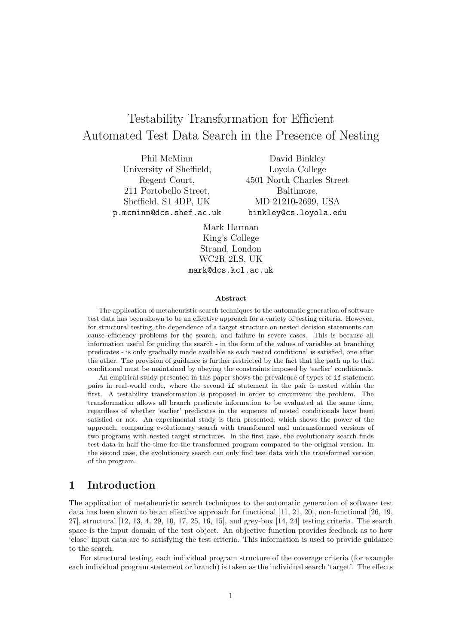# Testability Transformation for Efficient Automated Test Data Search in the Presence of Nesting

Phil McMinn University of Sheffield, Regent Court, 211 Portobello Street, Sheffield, S1 4DP, UK p.mcminn@dcs.shef.ac.uk

David Binkley Loyola College 4501 North Charles Street Baltimore, MD 21210-2699, USA binkley@cs.loyola.edu

Mark Harman King's College Strand, London WC2R 2LS, UK mark@dcs.kcl.ac.uk

#### Abstract

The application of metaheuristic search techniques to the automatic generation of software test data has been shown to be an effective approach for a variety of testing criteria. However, for structural testing, the dependence of a target structure on nested decision statements can cause efficiency problems for the search, and failure in severe cases. This is because all information useful for guiding the search - in the form of the values of variables at branching predicates - is only gradually made available as each nested conditional is satisfied, one after the other. The provision of guidance is further restricted by the fact that the path up to that conditional must be maintained by obeying the constraints imposed by 'earlier' conditionals.

An empirical study presented in this paper shows the prevalence of types of if statement pairs in real-world code, where the second if statement in the pair is nested within the first. A testability transformation is proposed in order to circumvent the problem. The transformation allows all branch predicate information to be evaluated at the same time, regardless of whether 'earlier' predicates in the sequence of nested conditionals have been satisfied or not. An experimental study is then presented, which shows the power of the approach, comparing evolutionary search with transformed and untransformed versions of two programs with nested target structures. In the first case, the evolutionary search finds test data in half the time for the transformed program compared to the original version. In the second case, the evolutionary search can only find test data with the transformed version of the program.

### 1 Introduction

The application of metaheuristic search techniques to the automatic generation of software test data has been shown to be an effective approach for functional [11, 21, 20], non-functional [26, 19, 27], structural [12, 13, 4, 29, 10, 17, 25, 16, 15], and grey-box [14, 24] testing criteria. The search space is the input domain of the test object. An objective function provides feedback as to how 'close' input data are to satisfying the test criteria. This information is used to provide guidance to the search.

For structural testing, each individual program structure of the coverage criteria (for example each individual program statement or branch) is taken as the individual search 'target'. The effects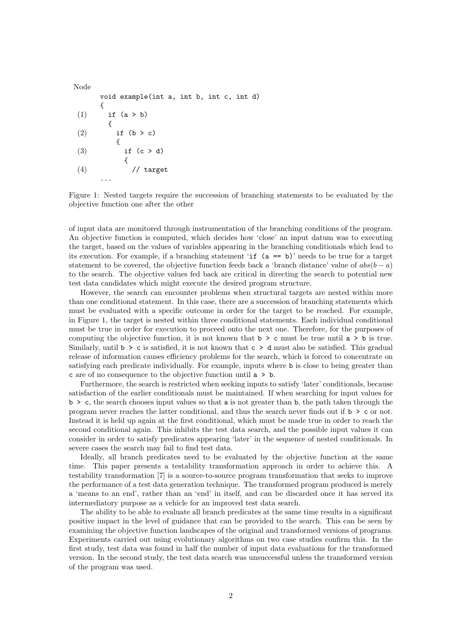```
Node
     void example(int a, int b, int c, int d)
     {
(1) if (a > b){
(2) if (b > c){
(3) if (c > d){
(4) // target
     ...
```
Figure 1: Nested targets require the succession of branching statements to be evaluated by the objective function one after the other

of input data are monitored through instrumentation of the branching conditions of the program. An objective function is computed, which decides how 'close' an input datum was to executing the target, based on the values of variables appearing in the branching conditionals which lead to its execution. For example, if a branching statement 'if (a == b)' needs to be true for a target statement to be covered, the objective function feeds back a 'branch distance' value of  $abs(b - a)$ to the search. The objective values fed back are critical in directing the search to potential new test data candidates which might execute the desired program structure.

However, the search can encounter problems when structural targets are nested within more than one conditional statement. In this case, there are a succession of branching statements which must be evaluated with a specific outcome in order for the target to be reached. For example, in Figure 1, the target is nested within three conditional statements. Each individual conditional must be true in order for execution to proceed onto the next one. Therefore, for the purposes of computing the objective function, it is not known that  $b > c$  must be true until  $a > b$  is true. Similarly, until  $b > c$  is satisfied, it is not known that  $c > d$  must also be satisfied. This gradual release of information causes efficiency problems for the search, which is forced to concentrate on satisfying each predicate individually. For example, inputs where b is close to being greater than c are of no consequence to the objective function until  $a > b$ .

Furthermore, the search is restricted when seeking inputs to satisfy 'later' conditionals, because satisfaction of the earlier conditionals must be maintained. If when searching for input values for  $b > c$ , the search chooses input values so that a is not greater than b, the path taken through the program never reaches the latter conditional, and thus the search never finds out if  $b > c$  or not. Instead it is held up again at the first conditional, which must be made true in order to reach the second conditional again. This inhibits the test data search, and the possible input values it can consider in order to satisfy predicates appearing 'later' in the sequence of nested conditionals. In severe cases the search may fail to find test data.

Ideally, all branch predicates need to be evaluated by the objective function at the same time. This paper presents a testability transformation approach in order to achieve this. A testability transformation [7] is a source-to-source program transformation that seeks to improve the performance of a test data generation technique. The transformed program produced is merely a 'means to an end', rather than an 'end' in itself, and can be discarded once it has served its intermediatory purpose as a vehicle for an improved test data search.

The ability to be able to evaluate all branch predicates at the same time results in a significant positive impact in the level of guidance that can be provided to the search. This can be seen by examining the objective function landscapes of the original and transformed versions of programs. Experiments carried out using evolutionary algorithms on two case studies confirm this. In the first study, test data was found in half the number of input data evaluations for the transformed version. In the second study, the test data search was unsuccessful unless the transformed version of the program was used.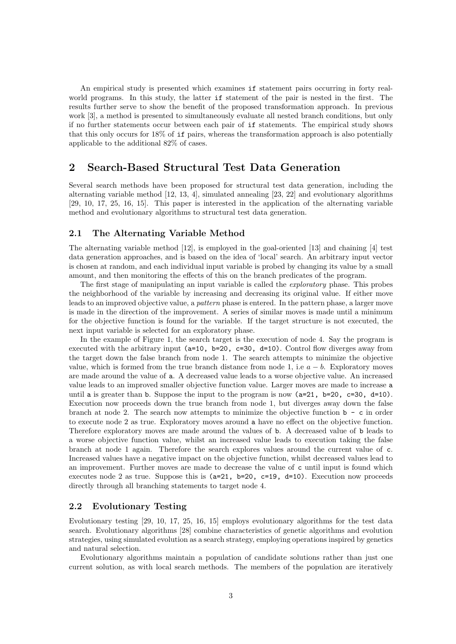An empirical study is presented which examines if statement pairs occurring in forty realworld programs. In this study, the latter if statement of the pair is nested in the first. The results further serve to show the benefit of the proposed transformation approach. In previous work [3], a method is presented to simultaneously evaluate all nested branch conditions, but only if no further statements occur between each pair of if statements. The empirical study shows that this only occurs for 18% of if pairs, whereas the transformation approach is also potentially applicable to the additional 82% of cases.

## 2 Search-Based Structural Test Data Generation

Several search methods have been proposed for structural test data generation, including the alternating variable method [12, 13, 4], simulated annealing [23, 22] and evolutionary algorithms [29, 10, 17, 25, 16, 15]. This paper is interested in the application of the alternating variable method and evolutionary algorithms to structural test data generation.

#### 2.1 The Alternating Variable Method

The alternating variable method [12], is employed in the goal-oriented [13] and chaining [4] test data generation approaches, and is based on the idea of 'local' search. An arbitrary input vector is chosen at random, and each individual input variable is probed by changing its value by a small amount, and then monitoring the effects of this on the branch predicates of the program.

The first stage of manipulating an input variable is called the *exploratory* phase. This probes the neighborhood of the variable by increasing and decreasing its original value. If either move leads to an improved objective value, a pattern phase is entered. In the pattern phase, a larger move is made in the direction of the improvement. A series of similar moves is made until a minimum for the objective function is found for the variable. If the target structure is not executed, the next input variable is selected for an exploratory phase.

In the example of Figure 1, the search target is the execution of node 4. Say the program is executed with the arbitrary input  $(a=10, b=20, c=30, d=10)$ . Control flow diverges away from the target down the false branch from node 1. The search attempts to minimize the objective value, which is formed from the true branch distance from node 1, i.e  $a - b$ . Exploratory moves are made around the value of a. A decreased value leads to a worse objective value. An increased value leads to an improved smaller objective function value. Larger moves are made to increase a until a is greater than b. Suppose the input to the program is now  $(a=21, b=20, c=30, d=10)$ . Execution now proceeds down the true branch from node 1, but diverges away down the false branch at node 2. The search now attempts to minimize the objective function  $\mathbf{b}$  - c in order to execute node 2 as true. Exploratory moves around a have no effect on the objective function. Therefore exploratory moves are made around the values of b. A decreased value of b leads to a worse objective function value, whilst an increased value leads to execution taking the false branch at node 1 again. Therefore the search explores values around the current value of c. Increased values have a negative impact on the objective function, whilst decreased values lead to an improvement. Further moves are made to decrease the value of c until input is found which executes node 2 as true. Suppose this is  $(a=21, b=20, c=19, d=10)$ . Execution now proceeds directly through all branching statements to target node 4.

#### 2.2 Evolutionary Testing

Evolutionary testing [29, 10, 17, 25, 16, 15] employs evolutionary algorithms for the test data search. Evolutionary algorithms [28] combine characteristics of genetic algorithms and evolution strategies, using simulated evolution as a search strategy, employing operations inspired by genetics and natural selection.

Evolutionary algorithms maintain a population of candidate solutions rather than just one current solution, as with local search methods. The members of the population are iteratively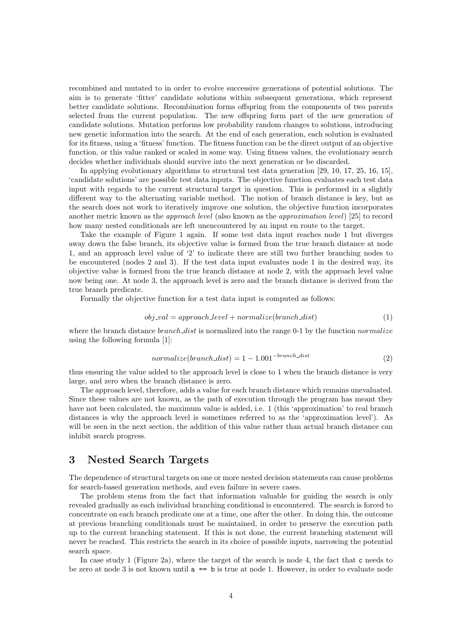recombined and mutated to in order to evolve successive generations of potential solutions. The aim is to generate 'fitter' candidate solutions within subsequent generations, which represent better candidate solutions. Recombination forms offspring from the components of two parents selected from the current population. The new offspring form part of the new generation of candidate solutions. Mutation performs low probability random changes to solutions, introducing new genetic information into the search. At the end of each generation, each solution is evaluated for its fitness, using a 'fitness' function. The fitness function can be the direct output of an objective function, or this value ranked or scaled in some way. Using fitness values, the evolutionary search decides whether individuals should survive into the next generation or be discarded.

In applying evolutionary algorithms to structural test data generation [29, 10, 17, 25, 16, 15], 'candidate solutions' are possible test data inputs. The objective function evaluates each test data input with regards to the current structural target in question. This is performed in a slightly different way to the alternating variable method. The notion of branch distance is key, but as the search does not work to iteratively improve one solution, the objective function incorporates another metric known as the approach level (also known as the approximation level) [25] to record how many nested conditionals are left unencountered by an input en route to the target.

Take the example of Figure 1 again. If some test data input reaches node 1 but diverges away down the false branch, its objective value is formed from the true branch distance at node 1, and an approach level value of '2' to indicate there are still two further branching nodes to be encountered (nodes 2 and 3). If the test data input evaluates node 1 in the desired way, its objective value is formed from the true branch distance at node 2, with the approach level value now being one. At node 3, the approach level is zero and the branch distance is derived from the true branch predicate.

Formally the objective function for a test data input is computed as follows:

$$
obj\_val = approach\_level + normalize(branch\_dist)
$$
\n(1)

where the branch distance *branch dist* is normalized into the range  $0-1$  by the function *normalize* using the following formula [1]:

$$
normalize(branch\_dist) = 1 - 1.001^{-branch\_dist}
$$
\n<sup>(2)</sup>

thus ensuring the value added to the approach level is close to 1 when the branch distance is very large, and zero when the branch distance is zero.

The approach level, therefore, adds a value for each branch distance which remains unevaluated. Since these values are not known, as the path of execution through the program has meant they have not been calculated, the maximum value is added, i.e. 1 (this 'approximation' to real branch distances is why the approach level is sometimes referred to as the 'approximation level'). As will be seen in the next section, the addition of this value rather than actual branch distance can inhibit search progress.

### 3 Nested Search Targets

The dependence of structural targets on one or more nested decision statements can cause problems for search-based generation methods, and even failure in severe cases.

The problem stems from the fact that information valuable for guiding the search is only revealed gradually as each individual branching conditional is encountered. The search is forced to concentrate on each branch predicate one at a time, one after the other. In doing this, the outcome at previous branching conditionals must be maintained, in order to preserve the execution path up to the current branching statement. If this is not done, the current branching statement will never be reached. This restricts the search in its choice of possible inputs, narrowing the potential search space.

In case study 1 (Figure 2a), where the target of the search is node 4, the fact that c needs to be zero at node 3 is not known until  $a == b$  is true at node 1. However, in order to evaluate node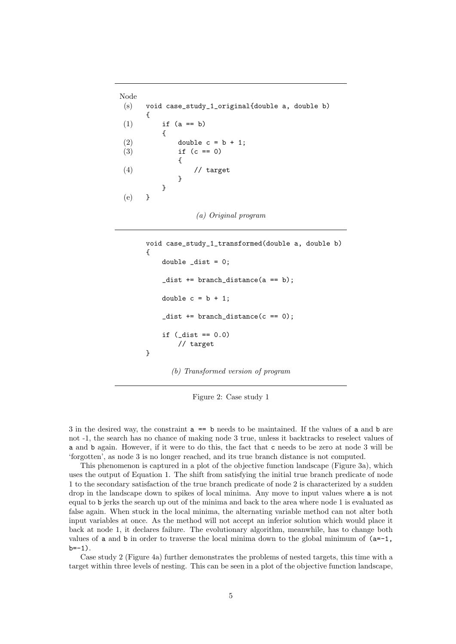```
Node
(s) void case_study_1_original{double a, double b)
     {
(1) if (a == b){
(2) double c = b + 1;
(3) if (c == 0){
(4) // target
           }
        }
(e) }
```

```
void case_study_1_transformed(double a, double b)
{
    double dist = 0;
    _dist += branch_distance(a == b);
    double c = b + 1;
    \_dist += branch\_distance(c == 0);if (\_dist == 0.0)// target
}
```
(b) Transformed version of program

Figure 2: Case study 1

3 in the desired way, the constraint a == b needs to be maintained. If the values of a and b are not -1, the search has no chance of making node 3 true, unless it backtracks to reselect values of a and b again. However, if it were to do this, the fact that c needs to be zero at node 3 will be 'forgotten', as node 3 is no longer reached, and its true branch distance is not computed.

This phenomenon is captured in a plot of the objective function landscape (Figure 3a), which uses the output of Equation 1. The shift from satisfying the initial true branch predicate of node 1 to the secondary satisfaction of the true branch predicate of node 2 is characterized by a sudden drop in the landscape down to spikes of local minima. Any move to input values where a is not equal to b jerks the search up out of the minima and back to the area where node 1 is evaluated as false again. When stuck in the local minima, the alternating variable method can not alter both input variables at once. As the method will not accept an inferior solution which would place it back at node 1, it declares failure. The evolutionary algorithm, meanwhile, has to change both values of a and b in order to traverse the local minima down to the global minimum of  $(a=-1,$  $b=-1$ ).

Case study 2 (Figure 4a) further demonstrates the problems of nested targets, this time with a target within three levels of nesting. This can be seen in a plot of the objective function landscape,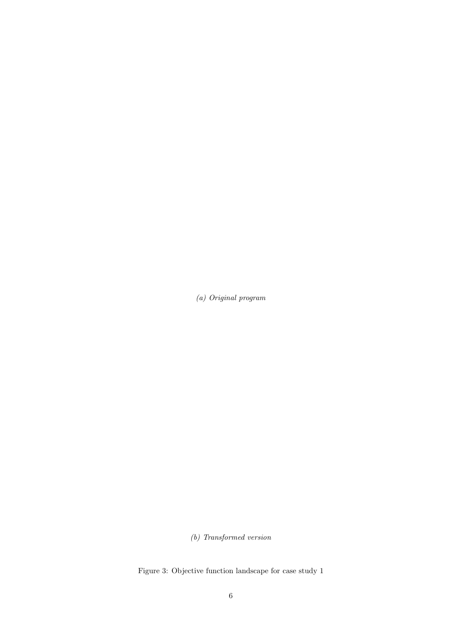(b) Transformed version

Figure 3: Objective function landscape for case study 1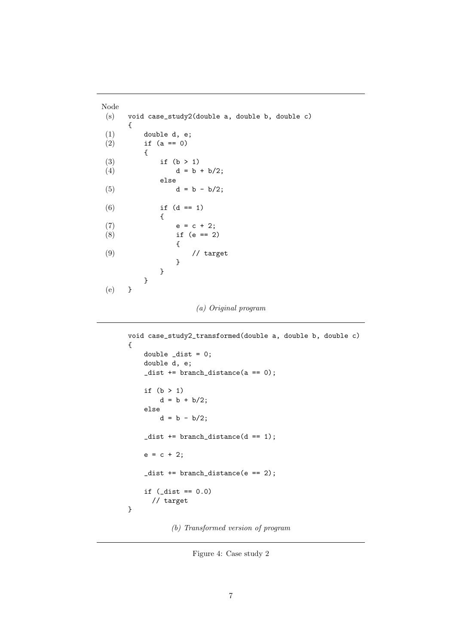```
Node
(s) void case_study2(double a, double b, double c)
    {
(1) double d, e;
(2) if (a == 0){
(3) if (b > 1)<br>(4) d = bd = b + b/2;else
(5) d = b - b/2;(6) if (d == 1){
(7) e = c + 2;(8) if (e == 2){
(9) // target
             }
          }
       }
(e) }
```

```
void case_study2_transformed(double a, double b, double c)
{
    double \_dist = 0;double d, e;
    \_dist += branch\_distance(a == 0);if (b > 1)d = b + b/2;else
        d = b - b/2;\_dist += branch\_distance(d == 1);e = c + 2;\_dist += branch\_distance(e == 2);if (\_dist == 0.0)// target
}
```
(b) Transformed version of program

Figure 4: Case study 2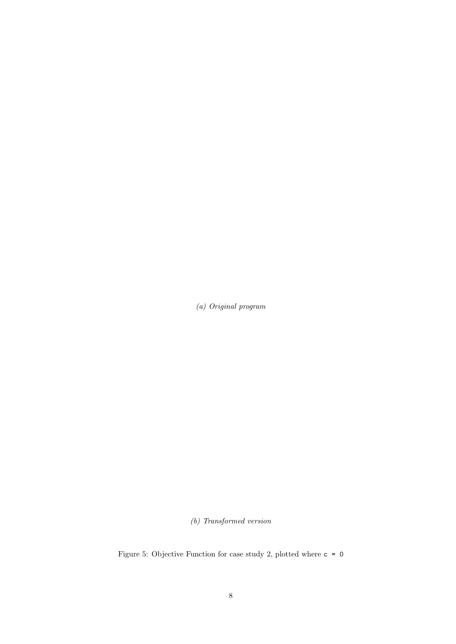(b) Transformed version

Figure 5: Objective Function for case study 2, plotted where  $c = 0$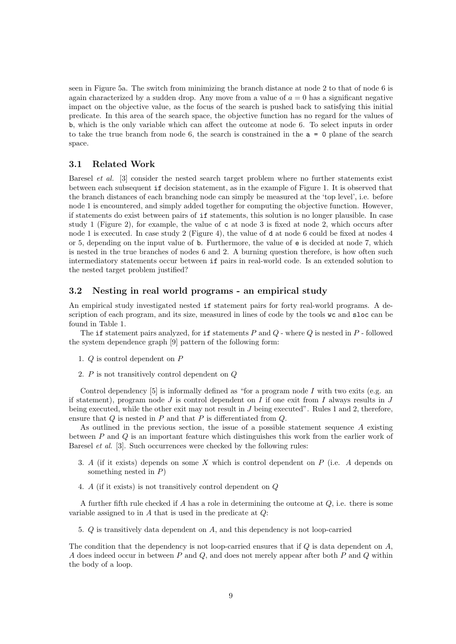seen in Figure 5a. The switch from minimizing the branch distance at node 2 to that of node 6 is again characterized by a sudden drop. Any move from a value of  $a = 0$  has a significant negative impact on the objective value, as the focus of the search is pushed back to satisfying this initial predicate. In this area of the search space, the objective function has no regard for the values of b, which is the only variable which can affect the outcome at node 6. To select inputs in order to take the true branch from node 6, the search is constrained in the  $a = 0$  plane of the search space.

#### 3.1 Related Work

Baresel et al. [3] consider the nested search target problem where no further statements exist between each subsequent if decision statement, as in the example of Figure 1. It is observed that the branch distances of each branching node can simply be measured at the 'top level', i.e. before node 1 is encountered, and simply added together for computing the objective function. However, if statements do exist between pairs of if statements, this solution is no longer plausible. In case study 1 (Figure 2), for example, the value of c at node 3 is fixed at node 2, which occurs after node 1 is executed. In case study 2 (Figure 4), the value of d at node 6 could be fixed at nodes 4 or 5, depending on the input value of b. Furthermore, the value of e is decided at node 7, which is nested in the true branches of nodes 6 and 2. A burning question therefore, is how often such intermediatory statements occur between if pairs in real-world code. Is an extended solution to the nested target problem justified?

### 3.2 Nesting in real world programs - an empirical study

An empirical study investigated nested if statement pairs for forty real-world programs. A description of each program, and its size, measured in lines of code by the tools wc and sloc can be found in Table 1.

The if statement pairs analyzed, for if statements  $P$  and  $Q$  - where  $Q$  is nested in  $P$  - followed the system dependence graph [9] pattern of the following form:

- 1. Q is control dependent on P
- 2. P is not transitively control dependent on Q

Control dependency  $[5]$  is informally defined as "for a program node I with two exits (e.g. an if statement), program node  $J$  is control dependent on  $I$  if one exit from  $I$  always results in  $J$ being executed, while the other exit may not result in J being executed". Rules 1 and 2, therefore, ensure that Q is nested in P and that P is differentiated from Q.

As outlined in the previous section, the issue of a possible statement sequence A existing between P and Q is an important feature which distinguishes this work from the earlier work of Baresel et al. [3]. Such occurrences were checked by the following rules:

- 3. A (if it exists) depends on some X which is control dependent on P (i.e. A depends on something nested in  $P$ )
- 4. A (if it exists) is not transitively control dependent on Q

A further fifth rule checked if A has a role in determining the outcome at Q, i.e. there is some variable assigned to in  $A$  that is used in the predicate at  $Q$ :

5. Q is transitively data dependent on A, and this dependency is not loop-carried

The condition that the dependency is not loop-carried ensures that if  $Q$  is data dependent on  $A$ , A does indeed occur in between  $P$  and  $Q$ , and does not merely appear after both  $P$  and  $Q$  within the body of a loop.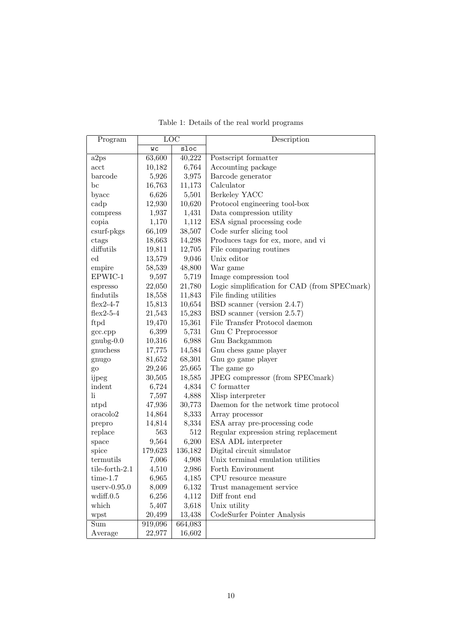| Program              | LOC     |         | Description                                  |  |
|----------------------|---------|---------|----------------------------------------------|--|
|                      | WС      | sloc    |                                              |  |
| a2ps                 | 63,600  | 40,222  | Postscript formatter                         |  |
| acct                 | 10,182  | 6,764   | Accounting package                           |  |
| barcode              | 5,926   | 3,975   | Barcode generator                            |  |
| bc                   | 16,763  | 11,173  | Calculator                                   |  |
| byacc                | 6,626   | 5,501   | Berkeley YACC                                |  |
| cadp                 | 12,930  | 10,620  | Protocol engineering tool-box                |  |
| compress             | 1,937   | 1,431   | Data compression utility                     |  |
| copia                | 1,170   | 1,112   | ESA signal processing code                   |  |
| $csurf-pkgs$         | 66,109  | 38,507  | Code surfer slicing tool                     |  |
| ctags                | 18,663  | 14,298  | Produces tags for ex, more, and vi           |  |
| diffutils            | 19,811  | 12,705  | File comparing routines                      |  |
| $_{\rm ed}$          | 13,579  | 9,046   | Unix editor                                  |  |
| empire               | 58,539  | 48,800  | War game                                     |  |
| EPWIC-1              | 9,597   | 5,719   | Image compression tool                       |  |
| espresso             | 22,050  | 21,780  | Logic simplification for CAD (from SPECmark) |  |
| findutils            | 18,558  | 11,843  | File finding utilities                       |  |
| $flex2-4-7$          | 15,813  | 10,654  | BSD scanner (version 2.4.7)                  |  |
| flex2-5-4            | 21,543  | 15,283  | BSD scanner (version 2.5.7)                  |  |
| ftpd                 | 19,470  | 15,361  | File Transfer Protocol daemon                |  |
| gcc.cpp              | 6,399   | 5,731   | Gnu C Preprocessor                           |  |
| $gnubg-0.0$          | 10,316  | 6,988   | Gnu Backgammon                               |  |
| gnuchess             | 17,775  | 14,584  | Gnu chess game player                        |  |
| gnugo                | 81,652  | 68,301  | Gnu go game player                           |  |
| go                   | 29,246  | 25,665  | The game go                                  |  |
| ijpeg                | 30,505  | 18,585  | JPEG compressor (from SPECmark)              |  |
| indent               | 6,724   | 4,834   | C formatter                                  |  |
| li.                  | 7,597   | 4,888   | Xlisp interpreter                            |  |
| ntpd                 | 47,936  | 30,773  | Daemon for the network time protocol         |  |
| oracolo <sub>2</sub> | 14,864  | 8,333   | Array processor                              |  |
| prepro               | 14,814  | 8,334   | ESA array pre-processing code                |  |
| replace              | 563     | 512     | Regular expression string replacement        |  |
| space                | 9,564   | 6,200   | ESA ADL interpreter                          |  |
| spice                | 179,623 | 136,182 | Digital circuit simulator                    |  |
| termutils            | 7,006   | 4,908   | Unix terminal emulation utilities            |  |
| tile-forth-2.1       | 4,510   | 2,986   | Forth Environment                            |  |
| $time-1.7$           | 6,965   | 4,185   | CPU resource measure                         |  |
| $userv-0.95.0$       | 8,009   | 6,132   | Trust management service                     |  |
| wdiff.0.5            | 6,256   | 4,112   | Diff front end                               |  |
| which                | 5,407   | 3,618   | Unix utility                                 |  |
| wpst                 | 20,499  | 13,438  | CodeSurfer Pointer Analysis                  |  |
| Sum                  | 919,096 | 664,083 |                                              |  |
| Average              | 22,977  | 16,602  |                                              |  |

Table 1: Details of the real world programs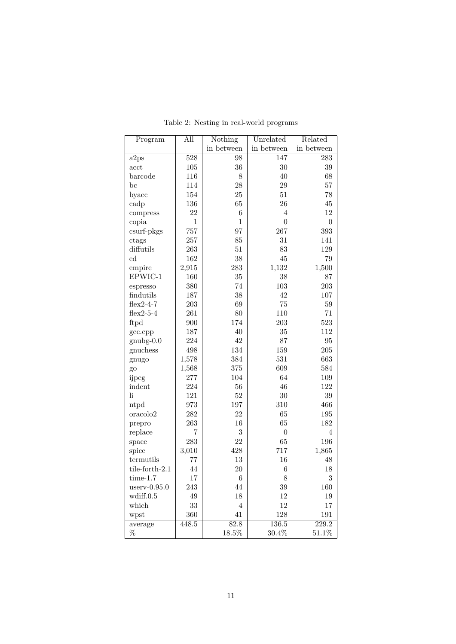| Program                    | All              | Nothing        | Unrelated        | Related          |
|----------------------------|------------------|----------------|------------------|------------------|
|                            |                  | in between     | in between       | in between       |
| a2ps                       | $\overline{528}$ | 98             | 147              | 283              |
| acct                       | 105              | 36             | 30               | 39               |
| barcode                    | 116              | $8\,$          | 40               | 68               |
| $_{\rm bc}$                | 114              | 28             | 29               | 57               |
| byacc                      | 154              | $25\,$         | $51\,$           | $78\,$           |
| cadp                       | 136              | 65             | 26               | $45\,$           |
| compress                   | 22               | $\,6$          | $\overline{4}$   | 12               |
| copia                      | $\mathbf{1}$     | $\mathbf{1}$   | $\overline{0}$   | $\boldsymbol{0}$ |
| csurf-pkgs                 | 757              | 97             | 267              | 393              |
| ctags                      | 257              | 85             | 31               | 141              |
| diffutils                  | 263              | 51             | 83               | 129              |
| ed                         | 162              | 38             | $45\,$           | 79               |
| empire                     | 2,915            | 283            | 1,132            | 1,500            |
| EPWIC-1                    | 160              | 35             | 38               | 87               |
| espresso                   | 380              | 74             | 103              | 203              |
| findutils                  | 187              | 38             | 42               | 107              |
| $flex2-4-7$                | 203              | 69             | $75\,$           | 59               |
| $flex2-5-4$                | 261              | 80             | 110              | 71               |
| ftpd                       | 900              | 174            | 203              | 523              |
| gcc.cpp                    | 187              | $40\,$         | $35\,$           | 112              |
| $gnubg-0.0$                | 224              | $42\,$         | 87               | $\rm 95$         |
| gnuchess                   | 498              | 134            | 159              | 205              |
| gnugo                      | 1,578            | 384            | 531              | 663              |
| go                         | 1,568            | 375            | 609              | 584              |
| ijpeg                      | 277              | 104            | 64               | 109              |
| indent                     | 224              | 56             | 46               | 122              |
| $\mathop{\rm li}\nolimits$ | 121              | $52\,$         | $30\,$           | $39\,$           |
| ntpd                       | 973              | 197            | 310              | 466              |
| oracolo2                   | 282              | 22             | 65               | 195              |
| prepro                     | 263              | 16             | 65               | 182              |
| replace                    | $\overline{7}$   | $\overline{3}$ | $\boldsymbol{0}$ | $\overline{4}$   |
| space                      | 283              | 22             | 65               | 196              |
| spice                      | 3,010            | 428            | 717              | 1,865            |
| termutils                  | 77               | 13             | 16               | 48               |
| tile-forth-2.1             | 44               | $20\,$         | $\,6$            | 18               |
| $time-1.7$                 | $17\,$           | $\,6\,$        | 8                | 3                |
| $userv-0.95.0$             | 243              | 44             | 39               | 160              |
| wdiff.0.5                  | 49               | 18             | 12               | 19               |
| which                      | 33               | $\overline{4}$ | 12               | 17               |
| wpst                       | 360              | 41             | 128              | 191              |
| average                    | 448.5            | 82.8           | 136.5            | 229.2            |
| $\%$                       |                  | 18.5%          | $30.4\%$         | 51.1%            |

Table 2: Nesting in real-world programs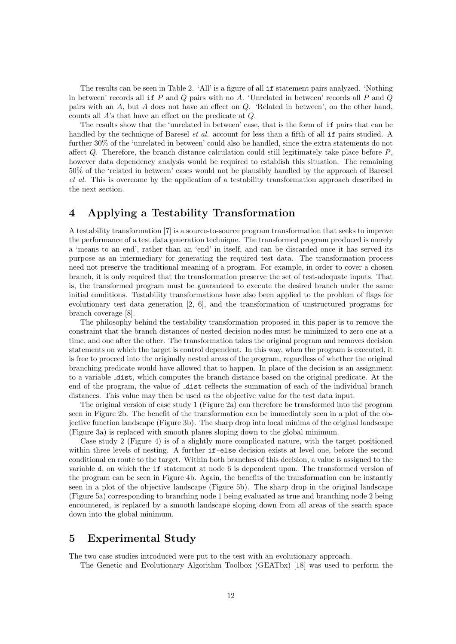The results can be seen in Table 2. 'All' is a figure of all if statement pairs analyzed. 'Nothing in between' records all if  $P$  and  $Q$  pairs with no  $A$ . 'Unrelated in between' records all  $P$  and  $Q$ pairs with an A, but A does not have an effect on Q. 'Related in between', on the other hand, counts all A's that have an effect on the predicate at Q.

The results show that the 'unrelated in between' case, that is the form of if pairs that can be handled by the technique of Baresel *et al.* account for less than a fifth of all if pairs studied. A further 30% of the 'unrelated in between' could also be handled, since the extra statements do not affect Q. Therefore, the branch distance calculation could still legitimately take place before P, however data dependency analysis would be required to establish this situation. The remaining 50% of the 'related in between' cases would not be plausibly handled by the approach of Baresel et al. This is overcome by the application of a testability transformation approach described in the next section.

## 4 Applying a Testability Transformation

A testability transformation [7] is a source-to-source program transformation that seeks to improve the performance of a test data generation technique. The transformed program produced is merely a 'means to an end', rather than an 'end' in itself, and can be discarded once it has served its purpose as an intermediary for generating the required test data. The transformation process need not preserve the traditional meaning of a program. For example, in order to cover a chosen branch, it is only required that the transformation preserve the set of test-adequate inputs. That is, the transformed program must be guaranteed to execute the desired branch under the same initial conditions. Testability transformations have also been applied to the problem of flags for evolutionary test data generation [2, 6], and the transformation of unstructured programs for branch coverage [8].

The philosophy behind the testability transformation proposed in this paper is to remove the constraint that the branch distances of nested decision nodes must be minimized to zero one at a time, and one after the other. The transformation takes the original program and removes decision statements on which the target is control dependent. In this way, when the program is executed, it is free to proceed into the originally nested areas of the program, regardless of whether the original branching predicate would have allowed that to happen. In place of the decision is an assignment to a variable dist, which computes the branch distance based on the original predicate. At the end of the program, the value of  $\Delta$ dist reflects the summation of each of the individual branch distances. This value may then be used as the objective value for the test data input.

The original version of case study 1 (Figure 2a) can therefore be transformed into the program seen in Figure 2b. The benefit of the transformation can be immediately seen in a plot of the objective function landscape (Figure 3b). The sharp drop into local minima of the original landscape (Figure 3a) is replaced with smooth planes sloping down to the global minimum.

Case study 2 (Figure 4) is of a slightly more complicated nature, with the target positioned within three levels of nesting. A further  $if$ -else decision exists at level one, before the second conditional en route to the target. Within both branches of this decision, a value is assigned to the variable d, on which the if statement at node 6 is dependent upon. The transformed version of the program can be seen in Figure 4b. Again, the benefits of the transformation can be instantly seen in a plot of the objective landscape (Figure 5b). The sharp drop in the original landscape (Figure 5a) corresponding to branching node 1 being evaluated as true and branching node 2 being encountered, is replaced by a smooth landscape sloping down from all areas of the search space down into the global minimum.

### 5 Experimental Study

The two case studies introduced were put to the test with an evolutionary approach.

The Genetic and Evolutionary Algorithm Toolbox (GEATbx) [18] was used to perform the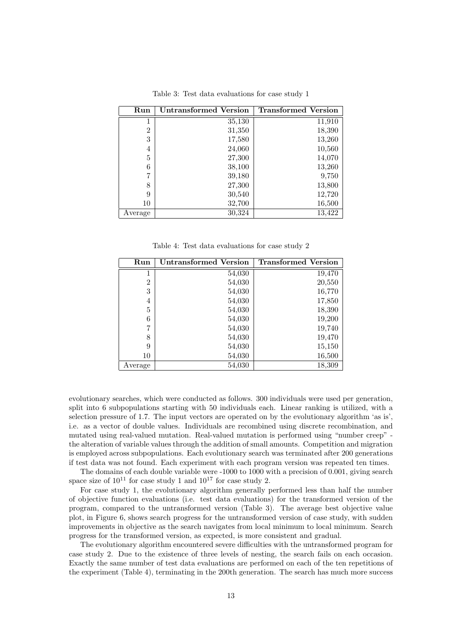| Run            | Untransformed Version | <b>Transformed Version</b> |
|----------------|-----------------------|----------------------------|
|                | 35,130                | 11,910                     |
| $\overline{2}$ | 31,350                | 18,390                     |
| 3              | 17,580                | 13,260                     |
| 4              | 24,060                | 10,560                     |
| 5              | 27,300                | 14,070                     |
| 6              | 38,100                | 13,260                     |
| 7              | 39,180                | 9,750                      |
| 8              | 27,300                | 13,800                     |
| 9              | 30,540                | 12,720                     |
| 10             | 32,700                | 16,500                     |
| Average        | 30,324                | 13,422                     |

Table 3: Test data evaluations for case study 1

Table 4: Test data evaluations for case study 2

| Run            | <b>Untransformed Version</b> | <b>Transformed Version</b> |
|----------------|------------------------------|----------------------------|
| 1              | 54,030                       | 19,470                     |
| $\overline{2}$ | 54,030                       | 20,550                     |
| 3              | 54,030                       | 16,770                     |
| 4              | 54,030                       | 17,850                     |
| 5              | 54,030                       | 18,390                     |
| 6              | 54,030                       | 19,200                     |
| 7              | 54,030                       | 19,740                     |
| 8              | 54,030                       | 19,470                     |
| 9              | 54,030                       | 15,150                     |
| 10             | 54,030                       | 16,500                     |
| Average        | 54,030                       | 18,309                     |

evolutionary searches, which were conducted as follows. 300 individuals were used per generation, split into 6 subpopulations starting with 50 individuals each. Linear ranking is utilized, with a selection pressure of 1.7. The input vectors are operated on by the evolutionary algorithm 'as is', i.e. as a vector of double values. Individuals are recombined using discrete recombination, and mutated using real-valued mutation. Real-valued mutation is performed using "number creep" the alteration of variable values through the addition of small amounts. Competition and migration is employed across subpopulations. Each evolutionary search was terminated after 200 generations if test data was not found. Each experiment with each program version was repeated ten times.

The domains of each double variable were -1000 to 1000 with a precision of 0.001, giving search space size of  $10^{11}$  for case study 1 and  $10^{17}$  for case study 2.

For case study 1, the evolutionary algorithm generally performed less than half the number of objective function evaluations (i.e. test data evaluations) for the transformed version of the program, compared to the untransformed version (Table 3). The average best objective value plot, in Figure 6, shows search progress for the untransformed version of case study, with sudden improvements in objective as the search navigates from local minimum to local minimum. Search progress for the transformed version, as expected, is more consistent and gradual.

The evolutionary algorithm encountered severe difficulties with the untransformed program for case study 2. Due to the existence of three levels of nesting, the search fails on each occasion. Exactly the same number of test data evaluations are performed on each of the ten repetitions of the experiment (Table 4), terminating in the 200th generation. The search has much more success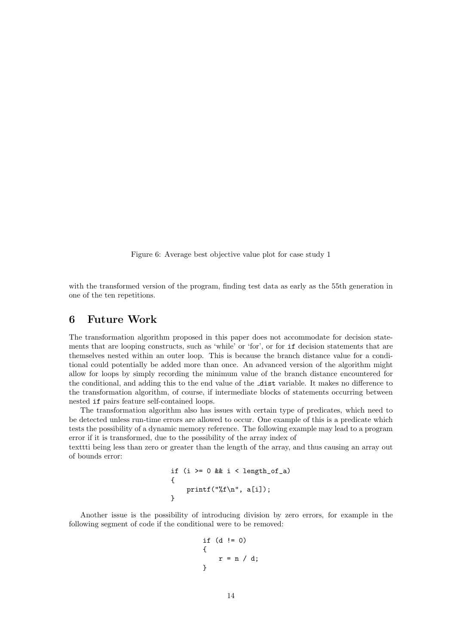Figure 6: Average best objective value plot for case study 1

with the transformed version of the program, finding test data as early as the 55th generation in one of the ten repetitions.

### 6 Future Work

The transformation algorithm proposed in this paper does not accommodate for decision statements that are looping constructs, such as 'while' or 'for', or for if decision statements that are themselves nested within an outer loop. This is because the branch distance value for a conditional could potentially be added more than once. An advanced version of the algorithm might allow for loops by simply recording the minimum value of the branch distance encountered for the conditional, and adding this to the end value of the dist variable. It makes no difference to the transformation algorithm, of course, if intermediate blocks of statements occurring between nested if pairs feature self-contained loops.

The transformation algorithm also has issues with certain type of predicates, which need to be detected unless run-time errors are allowed to occur. One example of this is a predicate which tests the possibility of a dynamic memory reference. The following example may lead to a program error if it is transformed, due to the possibility of the array index of

texttti being less than zero or greater than the length of the array, and thus causing an array out of bounds error:

```
if (i \ge 0 \& k \in \text{length_of}_a){
    printf("%f\n", a[i]);
}
```
Another issue is the possibility of introducing division by zero errors, for example in the following segment of code if the conditional were to be removed:

if (d != 0)  
{  

$$
r = n / d;
$$
  
}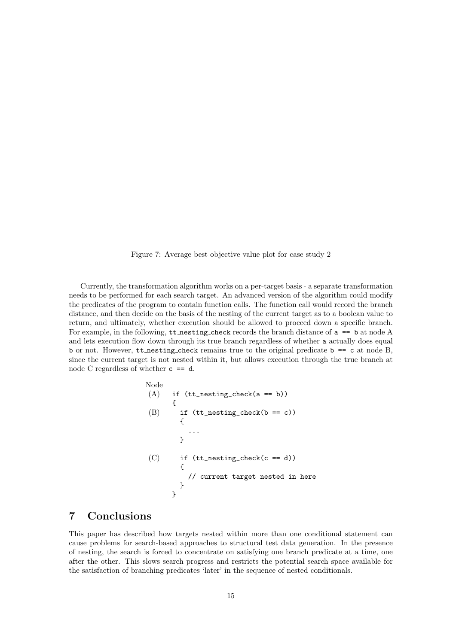Figure 7: Average best objective value plot for case study 2

Currently, the transformation algorithm works on a per-target basis - a separate transformation needs to be performed for each search target. An advanced version of the algorithm could modify the predicates of the program to contain function calls. The function call would record the branch distance, and then decide on the basis of the nesting of the current target as to a boolean value to return, and ultimately, whether execution should be allowed to proceed down a specific branch. For example, in the following,  $tt{\_}nesting{\_}check$  records the branch distance of  $a == b$  at node A and lets execution flow down through its true branch regardless of whether a actually does equal b or not. However, tt nesting check remains true to the original predicate  $b = c$  at node B, since the current target is not nested within it, but allows execution through the true branch at node C regardless of whether c == d.

```
Node
(A) if (tt\_nesting\_check(a == b)){
(B) if (tt\_nesting\_check(b == c){
          ...
        }
(C) if (tt\_nesting\_check(c == d)){
          // current target nested in here
        }
      }
```
## 7 Conclusions

This paper has described how targets nested within more than one conditional statement can cause problems for search-based approaches to structural test data generation. In the presence of nesting, the search is forced to concentrate on satisfying one branch predicate at a time, one after the other. This slows search progress and restricts the potential search space available for the satisfaction of branching predicates 'later' in the sequence of nested conditionals.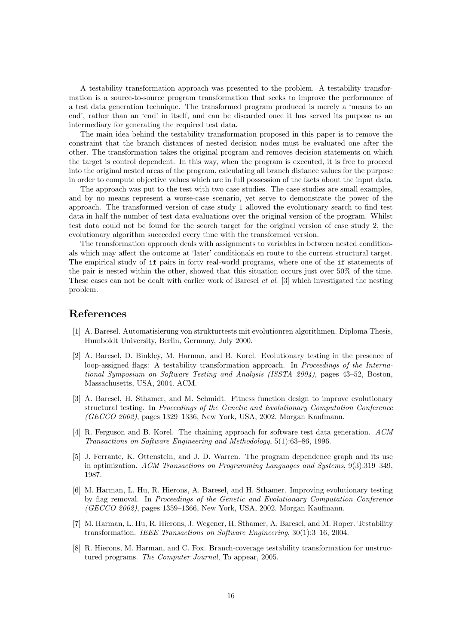A testability transformation approach was presented to the problem. A testability transformation is a source-to-source program transformation that seeks to improve the performance of a test data generation technique. The transformed program produced is merely a 'means to an end', rather than an 'end' in itself, and can be discarded once it has served its purpose as an intermediary for generating the required test data.

The main idea behind the testability transformation proposed in this paper is to remove the constraint that the branch distances of nested decision nodes must be evaluated one after the other. The transformation takes the original program and removes decision statements on which the target is control dependent. In this way, when the program is executed, it is free to proceed into the original nested areas of the program, calculating all branch distance values for the purpose in order to compute objective values which are in full possession of the facts about the input data.

The approach was put to the test with two case studies. The case studies are small examples, and by no means represent a worse-case scenario, yet serve to demonstrate the power of the approach. The transformed version of case study 1 allowed the evolutionary search to find test data in half the number of test data evaluations over the original version of the program. Whilst test data could not be found for the search target for the original version of case study 2, the evolutionary algorithm succeeded every time with the transformed version.

The transformation approach deals with assignments to variables in between nested conditionals which may affect the outcome at 'later' conditionals en route to the current structural target. The empirical study of if pairs in forty real-world programs, where one of the if statements of the pair is nested within the other, showed that this situation occurs just over 50% of the time. These cases can not be dealt with earlier work of Baresel et al. [3] which investigated the nesting problem.

### References

- [1] A. Baresel. Automatisierung von strukturtests mit evolutionren algorithmen. Diploma Thesis, Humboldt University, Berlin, Germany, July 2000.
- [2] A. Baresel, D. Binkley, M. Harman, and B. Korel. Evolutionary testing in the presence of loop-assigned flags: A testability transformation approach. In Proceedings of the International Symposium on Software Testing and Analysis (ISSTA 2004), pages 43–52, Boston, Massachusetts, USA, 2004. ACM.
- [3] A. Baresel, H. Sthamer, and M. Schmidt. Fitness function design to improve evolutionary structural testing. In Proceedings of the Genetic and Evolutionary Computation Conference (GECCO 2002), pages 1329–1336, New York, USA, 2002. Morgan Kaufmann.
- [4] R. Ferguson and B. Korel. The chaining approach for software test data generation. ACM Transactions on Software Engineering and Methodology, 5(1):63–86, 1996.
- [5] J. Ferrante, K. Ottenstein, and J. D. Warren. The program dependence graph and its use in optimization. ACM Transactions on Programming Languages and Systems, 9(3):319–349, 1987.
- [6] M. Harman, L. Hu, R. Hierons, A. Baresel, and H. Sthamer. Improving evolutionary testing by flag removal. In Proceedings of the Genetic and Evolutionary Computation Conference (GECCO 2002), pages 1359–1366, New York, USA, 2002. Morgan Kaufmann.
- [7] M. Harman, L. Hu, R. Hierons, J. Wegener, H. Sthamer, A. Baresel, and M. Roper. Testability transformation. IEEE Transactions on Software Engineering, 30(1):3–16, 2004.
- [8] R. Hierons, M. Harman, and C. Fox. Branch-coverage testability transformation for unstructured programs. The Computer Journal, To appear, 2005.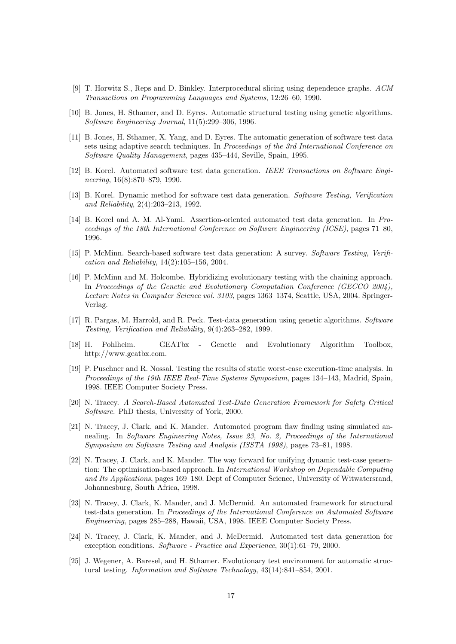- [9] T. Horwitz S., Reps and D. Binkley. Interprocedural slicing using dependence graphs. ACM Transactions on Programming Languages and Systems, 12:26–60, 1990.
- [10] B. Jones, H. Sthamer, and D. Eyres. Automatic structural testing using genetic algorithms. Software Engineering Journal, 11(5):299–306, 1996.
- [11] B. Jones, H. Sthamer, X. Yang, and D. Eyres. The automatic generation of software test data sets using adaptive search techniques. In Proceedings of the 3rd International Conference on Software Quality Management, pages 435–444, Seville, Spain, 1995.
- [12] B. Korel. Automated software test data generation. IEEE Transactions on Software Engineering, 16(8):870–879, 1990.
- [13] B. Korel. Dynamic method for software test data generation. Software Testing, Verification and Reliability, 2(4):203–213, 1992.
- [14] B. Korel and A. M. Al-Yami. Assertion-oriented automated test data generation. In Proceedings of the 18th International Conference on Software Engineering (ICSE), pages 71–80, 1996.
- [15] P. McMinn. Search-based software test data generation: A survey. Software Testing, Verification and Reliability, 14(2):105–156, 2004.
- [16] P. McMinn and M. Holcombe. Hybridizing evolutionary testing with the chaining approach. In Proceedings of the Genetic and Evolutionary Computation Conference (GECCO 2004), Lecture Notes in Computer Science vol. 3103, pages 1363–1374, Seattle, USA, 2004. Springer-Verlag.
- [17] R. Pargas, M. Harrold, and R. Peck. Test-data generation using genetic algorithms. Software Testing, Verification and Reliability, 9(4):263–282, 1999.
- [18] H. Pohlheim. GEATbx Genetic and Evolutionary Algorithm Toolbox, http://www.geatbx.com.
- [19] P. Puschner and R. Nossal. Testing the results of static worst-case execution-time analysis. In Proceedings of the 19th IEEE Real-Time Systems Symposium, pages 134–143, Madrid, Spain, 1998. IEEE Computer Society Press.
- [20] N. Tracey. A Search-Based Automated Test-Data Generation Framework for Safety Critical Software. PhD thesis, University of York, 2000.
- [21] N. Tracey, J. Clark, and K. Mander. Automated program flaw finding using simulated annealing. In Software Engineering Notes, Issue 23, No. 2, Proceedings of the International Symposium on Software Testing and Analysis (ISSTA 1998), pages 73–81, 1998.
- [22] N. Tracey, J. Clark, and K. Mander. The way forward for unifying dynamic test-case generation: The optimisation-based approach. In International Workshop on Dependable Computing and Its Applications, pages 169–180. Dept of Computer Science, University of Witwatersrand, Johannesburg, South Africa, 1998.
- [23] N. Tracey, J. Clark, K. Mander, and J. McDermid. An automated framework for structural test-data generation. In Proceedings of the International Conference on Automated Software Engineering, pages 285–288, Hawaii, USA, 1998. IEEE Computer Society Press.
- [24] N. Tracey, J. Clark, K. Mander, and J. McDermid. Automated test data generation for exception conditions. Software - Practice and Experience, 30(1):61–79, 2000.
- [25] J. Wegener, A. Baresel, and H. Sthamer. Evolutionary test environment for automatic structural testing. Information and Software Technology, 43(14):841–854, 2001.